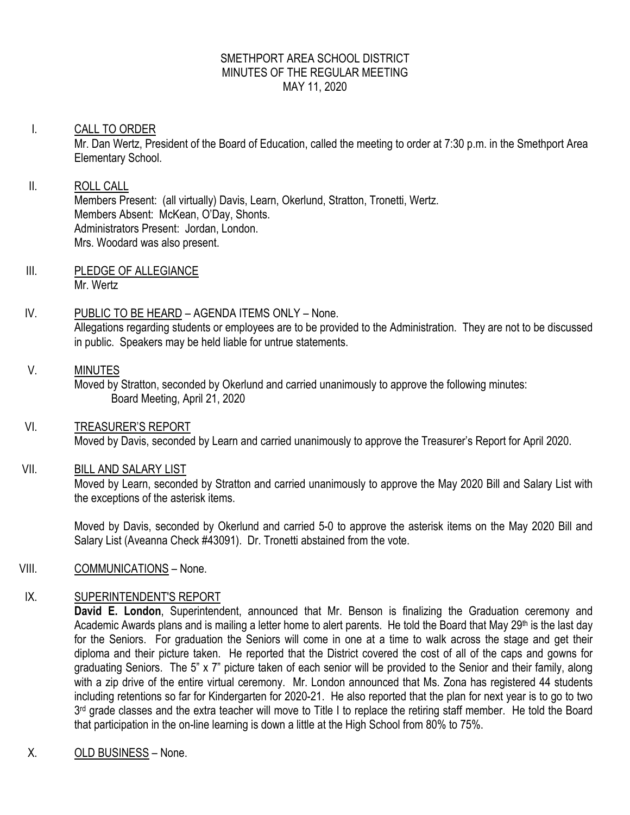#### SMETHPORT AREA SCHOOL DISTRICT MINUTES OF THE REGULAR MEETING MAY 11, 2020

# I. CALL TO ORDER Mr. Dan Wertz, President of the Board of Education, called the meeting to order at 7:30 p.m. in the Smethport Area Elementary School.

#### II. ROLL CALL Members Present: (all virtually) Davis, Learn, Okerlund, Stratton, Tronetti, Wertz. Members Absent: McKean, O'Day, Shonts. Administrators Present: Jordan, London. Mrs. Woodard was also present.

III. PLEDGE OF ALLEGIANCE Mr. Wertz

# IV. PUBLIC TO BE HEARD – AGENDA ITEMS ONLY – None. Allegations regarding students or employees are to be provided to the Administration. They are not to be discussed in public. Speakers may be held liable for untrue statements.

# V. MINUTES

Moved by Stratton, seconded by Okerlund and carried unanimously to approve the following minutes: Board Meeting, April 21, 2020

# VI. TREASURER'S REPORT Moved by Davis, seconded by Learn and carried unanimously to approve the Treasurer's Report for April 2020.

# VII. BILL AND SALARY LIST

Moved by Learn, seconded by Stratton and carried unanimously to approve the May 2020 Bill and Salary List with the exceptions of the asterisk items.

Moved by Davis, seconded by Okerlund and carried 5-0 to approve the asterisk items on the May 2020 Bill and Salary List (Aveanna Check #43091). Dr. Tronetti abstained from the vote.

# VIII. COMMUNICATIONS – None.

# IX. SUPERINTENDENT'S REPORT

**David E. London**, Superintendent, announced that Mr. Benson is finalizing the Graduation ceremony and Academic Awards plans and is mailing a letter home to alert parents. He told the Board that May 29th is the last day for the Seniors. For graduation the Seniors will come in one at a time to walk across the stage and get their diploma and their picture taken. He reported that the District covered the cost of all of the caps and gowns for graduating Seniors. The 5" x 7" picture taken of each senior will be provided to the Senior and their family, along with a zip drive of the entire virtual ceremony. Mr. London announced that Ms. Zona has registered 44 students including retentions so far for Kindergarten for 2020-21. He also reported that the plan for next year is to go to two 3<sup>rd</sup> grade classes and the extra teacher will move to Title I to replace the retiring staff member. He told the Board that participation in the on-line learning is down a little at the High School from 80% to 75%.

X. OLD BUSINESS – None.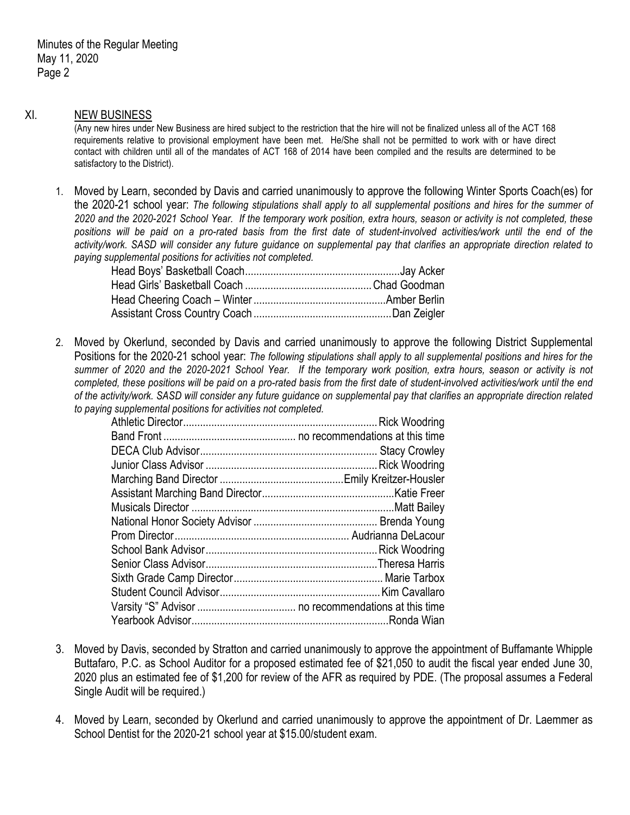#### XI. NEW BUSINESS

(Any new hires under New Business are hired subject to the restriction that the hire will not be finalized unless all of the ACT 168 requirements relative to provisional employment have been met. He/She shall not be permitted to work with or have direct contact with children until all of the mandates of ACT 168 of 2014 have been compiled and the results are determined to be satisfactory to the District).

1. Moved by Learn, seconded by Davis and carried unanimously to approve the following Winter Sports Coach(es) for the 2020-21 school year: *The following stipulations shall apply to all supplemental positions and hires for the summer of 2020 and the 2020-2021 School Year. If the temporary work position, extra hours, season or activity is not completed, these positions will be paid on a pro-rated basis from the first date of student-involved activities/work until the end of the activity/work. SASD will consider any future guidance on supplemental pay that clarifies an appropriate direction related to paying supplemental positions for activities not completed.*

2. Moved by Okerlund, seconded by Davis and carried unanimously to approve the following District Supplemental Positions for the 2020-21 school year: *The following stipulations shall apply to all supplemental positions and hires for the summer of 2020 and the 2020-2021 School Year. If the temporary work position, extra hours, season or activity is not completed, these positions will be paid on a pro-rated basis from the first date of student-involved activities/work until the end of the activity/work. SASD will consider any future guidance on supplemental pay that clarifies an appropriate direction related to paying supplemental positions for activities not completed.*

- 3. Moved by Davis, seconded by Stratton and carried unanimously to approve the appointment of Buffamante Whipple Buttafaro, P.C. as School Auditor for a proposed estimated fee of \$21,050 to audit the fiscal year ended June 30, 2020 plus an estimated fee of \$1,200 for review of the AFR as required by PDE. (The proposal assumes a Federal Single Audit will be required.)
- 4. Moved by Learn, seconded by Okerlund and carried unanimously to approve the appointment of Dr. Laemmer as School Dentist for the 2020-21 school year at \$15.00/student exam.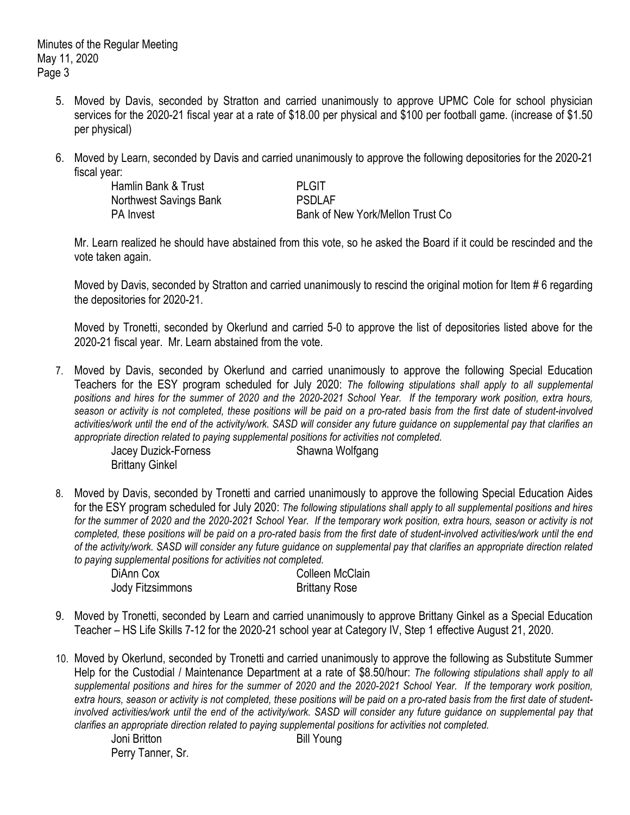Minutes of the Regular Meeting May 11, 2020 Page 3

- 5. Moved by Davis, seconded by Stratton and carried unanimously to approve UPMC Cole for school physician services for the 2020-21 fiscal year at a rate of \$18.00 per physical and \$100 per football game. (increase of \$1.50 per physical)
- 6. Moved by Learn, seconded by Davis and carried unanimously to approve the following depositories for the 2020-21 fiscal year:

Hamlin Bank & Trust **PLGIT** Northwest Savings Bank PSDLAF

PA Invest **Bank of New York/Mellon Trust Co** 

Mr. Learn realized he should have abstained from this vote, so he asked the Board if it could be rescinded and the vote taken again.

Moved by Davis, seconded by Stratton and carried unanimously to rescind the original motion for Item # 6 regarding the depositories for 2020-21.

Moved by Tronetti, seconded by Okerlund and carried 5-0 to approve the list of depositories listed above for the 2020-21 fiscal year. Mr. Learn abstained from the vote.

7. Moved by Davis, seconded by Okerlund and carried unanimously to approve the following Special Education Teachers for the ESY program scheduled for July 2020: *The following stipulations shall apply to all supplemental positions and hires for the summer of 2020 and the 2020-2021 School Year. If the temporary work position, extra hours, season or activity is not completed, these positions will be paid on a pro-rated basis from the first date of student-involved activities/work until the end of the activity/work. SASD will consider any future guidance on supplemental pay that clarifies an appropriate direction related to paying supplemental positions for activities not completed.*

Jacey Duzick-Forness Shawna Wolfgang Brittany Ginkel

8. Moved by Davis, seconded by Tronetti and carried unanimously to approve the following Special Education Aides for the ESY program scheduled for July 2020: *The following stipulations shall apply to all supplemental positions and hires for the summer of 2020 and the 2020-2021 School Year. If the temporary work position, extra hours, season or activity is not completed, these positions will be paid on a pro-rated basis from the first date of student-involved activities/work until the end of the activity/work. SASD will consider any future guidance on supplemental pay that clarifies an appropriate direction related to paying supplemental positions for activities not completed.*

| DiAnn Cox        | Colleen McClain      |
|------------------|----------------------|
| Jody Fitzsimmons | <b>Brittany Rose</b> |

- 9. Moved by Tronetti, seconded by Learn and carried unanimously to approve Brittany Ginkel as a Special Education Teacher – HS Life Skills 7-12 for the 2020-21 school year at Category IV, Step 1 effective August 21, 2020.
- 10. Moved by Okerlund, seconded by Tronetti and carried unanimously to approve the following as Substitute Summer Help for the Custodial / Maintenance Department at a rate of \$8.50/hour: *The following stipulations shall apply to all supplemental positions and hires for the summer of 2020 and the 2020-2021 School Year. If the temporary work position, extra hours, season or activity is not completed, these positions will be paid on a pro-rated basis from the first date of studentinvolved activities/work until the end of the activity/work. SASD will consider any future guidance on supplemental pay that clarifies an appropriate direction related to paying supplemental positions for activities not completed.*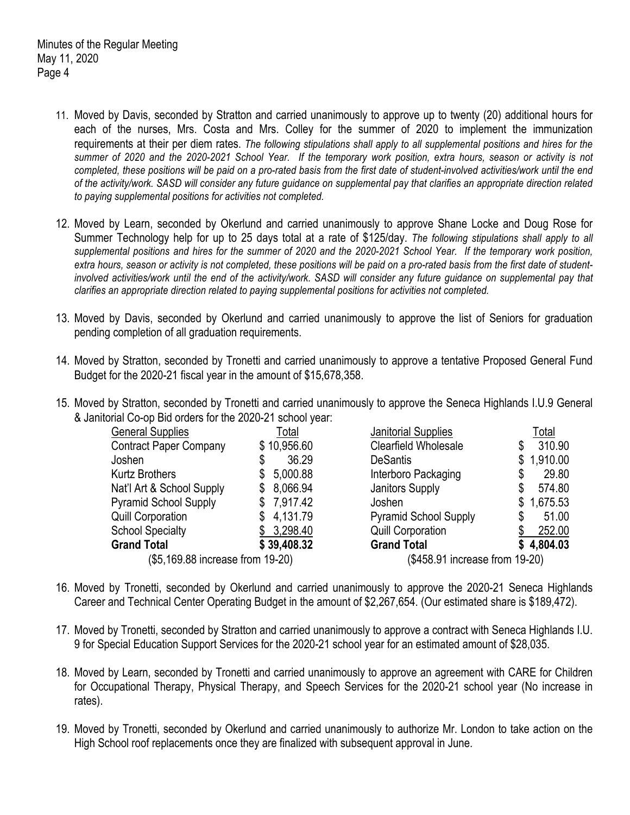- 11. Moved by Davis, seconded by Stratton and carried unanimously to approve up to twenty (20) additional hours for each of the nurses, Mrs. Costa and Mrs. Colley for the summer of 2020 to implement the immunization requirements at their per diem rates. *The following stipulations shall apply to all supplemental positions and hires for the summer of 2020 and the 2020-2021 School Year. If the temporary work position, extra hours, season or activity is not completed, these positions will be paid on a pro-rated basis from the first date of student-involved activities/work until the end of the activity/work. SASD will consider any future guidance on supplemental pay that clarifies an appropriate direction related to paying supplemental positions for activities not completed.*
- 12. Moved by Learn, seconded by Okerlund and carried unanimously to approve Shane Locke and Doug Rose for Summer Technology help for up to 25 days total at a rate of \$125/day. *The following stipulations shall apply to all supplemental positions and hires for the summer of 2020 and the 2020-2021 School Year. If the temporary work position, extra hours, season or activity is not completed, these positions will be paid on a pro-rated basis from the first date of studentinvolved activities/work until the end of the activity/work. SASD will consider any future guidance on supplemental pay that clarifies an appropriate direction related to paying supplemental positions for activities not completed.*
- 13. Moved by Davis, seconded by Okerlund and carried unanimously to approve the list of Seniors for graduation pending completion of all graduation requirements.
- 14. Moved by Stratton, seconded by Tronetti and carried unanimously to approve a tentative Proposed General Fund Budget for the 2020-21 fiscal year in the amount of \$15,678,358.
- 15. Moved by Stratton, seconded by Tronetti and carried unanimously to approve the Seneca Highlands I.U.9 General & Janitorial Co-op Bid orders for the 2020-21 school year:

| <b>General Supplies</b>          | Total          | <b>Janitorial Supplies</b>     | Total          |  |
|----------------------------------|----------------|--------------------------------|----------------|--|
| <b>Contract Paper Company</b>    | \$10,956.60    | Clearfield Wholesale           | 310.90         |  |
| Joshen                           | 36.29<br>\$    | <b>DeSantis</b>                | 1,910.00<br>S. |  |
| <b>Kurtz Brothers</b>            | 5,000.88       | Interboro Packaging            | 29.80          |  |
| Nat'l Art & School Supply        | 8,066.94<br>\$ | Janitors Supply                | 574.80         |  |
| <b>Pyramid School Supply</b>     | 7,917.42<br>S. | Joshen                         | 1,675.53<br>S. |  |
| <b>Quill Corporation</b>         | 4,131.79<br>\$ | <b>Pyramid School Supply</b>   | 51.00          |  |
| <b>School Specialty</b>          | \$3,298.40     | <b>Quill Corporation</b>       | 252.00         |  |
| <b>Grand Total</b>               | \$39,408.32    | <b>Grand Total</b>             | \$4,804.03     |  |
| (\$5,169.88 increase from 19-20) |                | (\$458.91 increase from 19-20) |                |  |

- 16. Moved by Tronetti, seconded by Okerlund and carried unanimously to approve the 2020-21 Seneca Highlands Career and Technical Center Operating Budget in the amount of \$2,267,654. (Our estimated share is \$189,472).
- 17. Moved by Tronetti, seconded by Stratton and carried unanimously to approve a contract with Seneca Highlands I.U. 9 for Special Education Support Services for the 2020-21 school year for an estimated amount of \$28,035.
- 18. Moved by Learn, seconded by Tronetti and carried unanimously to approve an agreement with CARE for Children for Occupational Therapy, Physical Therapy, and Speech Services for the 2020-21 school year (No increase in rates).
- 19. Moved by Tronetti, seconded by Okerlund and carried unanimously to authorize Mr. London to take action on the High School roof replacements once they are finalized with subsequent approval in June.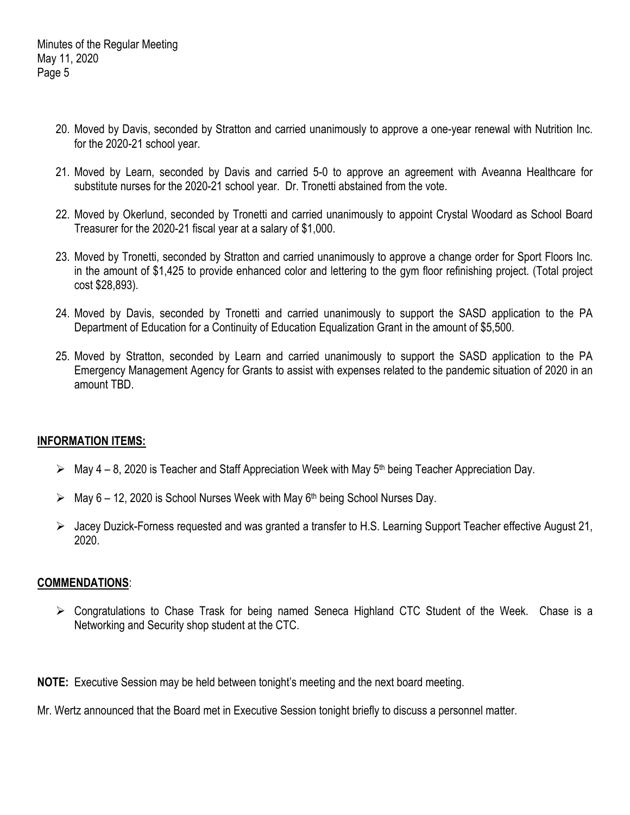- 20. Moved by Davis, seconded by Stratton and carried unanimously to approve a one-year renewal with Nutrition Inc. for the 2020-21 school year.
- 21. Moved by Learn, seconded by Davis and carried 5-0 to approve an agreement with Aveanna Healthcare for substitute nurses for the 2020-21 school year. Dr. Tronetti abstained from the vote.
- 22. Moved by Okerlund, seconded by Tronetti and carried unanimously to appoint Crystal Woodard as School Board Treasurer for the 2020-21 fiscal year at a salary of \$1,000.
- 23. Moved by Tronetti, seconded by Stratton and carried unanimously to approve a change order for Sport Floors Inc. in the amount of \$1,425 to provide enhanced color and lettering to the gym floor refinishing project. (Total project cost \$28,893).
- 24. Moved by Davis, seconded by Tronetti and carried unanimously to support the SASD application to the PA Department of Education for a Continuity of Education Equalization Grant in the amount of \$5,500.
- 25. Moved by Stratton, seconded by Learn and carried unanimously to support the SASD application to the PA Emergency Management Agency for Grants to assist with expenses related to the pandemic situation of 2020 in an amount TBD.

#### **INFORMATION ITEMS:**

- $\triangleright$  May 4 8, 2020 is Teacher and Staff Appreciation Week with May 5<sup>th</sup> being Teacher Appreciation Day.
- $\triangleright$  May 6 12, 2020 is School Nurses Week with May 6<sup>th</sup> being School Nurses Day.
- Jacey Duzick-Forness requested and was granted a transfer to H.S. Learning Support Teacher effective August 21, 2020.

#### **COMMENDATIONS**:

 Congratulations to Chase Trask for being named Seneca Highland CTC Student of the Week. Chase is a Networking and Security shop student at the CTC.

**NOTE:** Executive Session may be held between tonight's meeting and the next board meeting.

Mr. Wertz announced that the Board met in Executive Session tonight briefly to discuss a personnel matter.